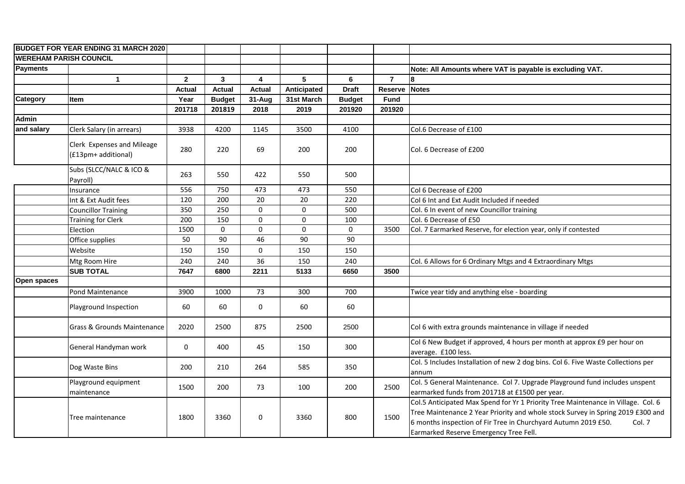| <b>BUDGET FOR YEAR ENDING 31 MARCH 2020</b> |                                                   |                  |                 |                         |             |               |                |                                                                                                                                                                                                                                                                                            |
|---------------------------------------------|---------------------------------------------------|------------------|-----------------|-------------------------|-------------|---------------|----------------|--------------------------------------------------------------------------------------------------------------------------------------------------------------------------------------------------------------------------------------------------------------------------------------------|
| <b>WEREHAM PARISH COUNCIL</b>               |                                                   |                  |                 |                         |             |               |                |                                                                                                                                                                                                                                                                                            |
| Payments                                    |                                                   |                  |                 |                         |             |               |                | Note: All Amounts where VAT is payable is excluding VAT.                                                                                                                                                                                                                                   |
|                                             | $\mathbf{1}$                                      | $\overline{2}$   | $\mathbf{3}$    | $\overline{\mathbf{4}}$ | 5           | 6             | $\overline{7}$ | l8                                                                                                                                                                                                                                                                                         |
|                                             |                                                   | <b>Actual</b>    | <b>Actual</b>   | <b>Actual</b>           | Anticipated | <b>Draft</b>  | <b>Reserve</b> | <b>Notes</b>                                                                                                                                                                                                                                                                               |
| Category                                    | Item                                              | Year             | <b>Budget</b>   | 31-Aug                  | 31st March  | <b>Budget</b> | <b>Fund</b>    |                                                                                                                                                                                                                                                                                            |
|                                             |                                                   | 201718           | 201819          | 2018                    | 2019        | 201920        | 201920         |                                                                                                                                                                                                                                                                                            |
| <b>Admin</b>                                |                                                   |                  |                 |                         |             |               |                |                                                                                                                                                                                                                                                                                            |
| and salary                                  | Clerk Salary (in arrears)                         | 3938             | 4200            | 1145                    | 3500        | 4100          |                | Col.6 Decrease of £100                                                                                                                                                                                                                                                                     |
|                                             | Clerk Expenses and Mileage<br>(£13pm+ additional) | 280              | 220             | 69                      | 200         | 200           |                | Col. 6 Decrease of £200                                                                                                                                                                                                                                                                    |
|                                             | Subs (SLCC/NALC & ICO &<br>Payroll)               | 263              | 550             | 422                     | 550         | 500           |                |                                                                                                                                                                                                                                                                                            |
|                                             | Insurance                                         | 556              | 750             | 473                     | 473         | 550           |                | Col 6 Decrease of £200                                                                                                                                                                                                                                                                     |
|                                             | Int & Ext Audit fees                              | 120              | 200             | 20                      | 20          | 220           |                | Col 6 Int and Ext Audit Included if needed                                                                                                                                                                                                                                                 |
|                                             | <b>Councillor Training</b>                        | 350              | 250             | 0                       | $\mathbf 0$ | 500           |                | Col. 6 In event of new Councillor training                                                                                                                                                                                                                                                 |
|                                             | <b>Training for Clerk</b>                         | $\overline{200}$ | $\frac{150}{ }$ | 0                       | $\mathbf 0$ | 100           |                | Col. 6 Decrease of £50                                                                                                                                                                                                                                                                     |
|                                             | Election                                          | 1500             | $\mathbf 0$     | 0                       | $\mathbf 0$ | $\mathbf 0$   | 3500           | Col. 7 Earmarked Reserve, for election year, only if contested                                                                                                                                                                                                                             |
|                                             | Office supplies                                   | 50               | 90              | 46                      | 90          | 90            |                |                                                                                                                                                                                                                                                                                            |
|                                             | Website                                           | 150              | 150             | 0                       | 150         | 150           |                |                                                                                                                                                                                                                                                                                            |
|                                             | Mtg Room Hire                                     | 240              | 240             | 36                      | 150         | 240           |                | Col. 6 Allows for 6 Ordinary Mtgs and 4 Extraordinary Mtgs                                                                                                                                                                                                                                 |
|                                             | <b>SUB TOTAL</b>                                  | 7647             | 6800            | 2211                    | 5133        | 6650          | 3500           |                                                                                                                                                                                                                                                                                            |
| Open spaces                                 |                                                   |                  |                 |                         |             |               |                |                                                                                                                                                                                                                                                                                            |
|                                             | Pond Maintenance                                  | 3900             | 1000            | 73                      | 300         | 700           |                | Twice year tidy and anything else - boarding                                                                                                                                                                                                                                               |
|                                             | Playground Inspection                             | 60               | 60              | 0                       | 60          | 60            |                |                                                                                                                                                                                                                                                                                            |
|                                             | Grass & Grounds Maintenance                       | 2020             | 2500            | 875                     | 2500        | 2500          |                | Col 6 with extra grounds maintenance in village if needed                                                                                                                                                                                                                                  |
|                                             | General Handyman work                             | 0                | 400             | 45                      | 150         | 300           |                | Col 6 New Budget if approved, 4 hours per month at approx £9 per hour on<br>average. £100 less.                                                                                                                                                                                            |
|                                             | Dog Waste Bins                                    | 200              | 210             | 264                     | 585         | 350           |                | Col. 5 Includes Installation of new 2 dog bins. Col 6. Five Waste Collections per<br>annum                                                                                                                                                                                                 |
|                                             | Playground equipment<br>maintenance               | 1500             | 200             | 73                      | 100         | 200           | 2500           | Col. 5 General Maintenance. Col 7. Upgrade Playground fund includes unspent<br>earmarked funds from 201718 at £1500 per year.                                                                                                                                                              |
|                                             | Tree maintenance                                  | 1800             | 3360            | 0                       | 3360        | 800           | 1500           | Col.5 Anticipated Max Spend for Yr 1 Priority Tree Maintenance in Village. Col. 6<br>Tree Maintenance 2 Year Priority and whole stock Survey in Spring 2019 £300 and<br>6 months inspection of Fir Tree in Churchyard Autumn 2019 £50.<br>Col. 7<br>Earmarked Reserve Emergency Tree Fell. |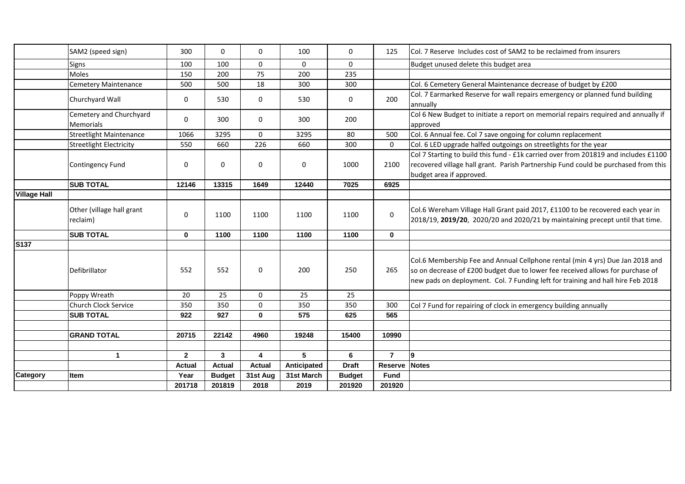|                     | SAM2 (speed sign)                           | 300           | $\Omega$      | 0             | 100         | 0             | 125            | Col. 7 Reserve Includes cost of SAM2 to be reclaimed from insurers                                                                                                                                                                                 |
|---------------------|---------------------------------------------|---------------|---------------|---------------|-------------|---------------|----------------|----------------------------------------------------------------------------------------------------------------------------------------------------------------------------------------------------------------------------------------------------|
|                     | Signs                                       | 100           | 100           | 0             | 0           | 0             |                | Budget unused delete this budget area                                                                                                                                                                                                              |
|                     | <b>Moles</b>                                | 150           | 200           | 75            | 200         | 235           |                |                                                                                                                                                                                                                                                    |
|                     | <b>Cemetery Maintenance</b>                 | 500           | 500           | 18            | 300         | 300           |                | Col. 6 Cemetery General Maintenance decrease of budget by £200                                                                                                                                                                                     |
|                     | Churchyard Wall                             | 0             | 530           | 0             | 530         | 0             | 200            | Col. 7 Earmarked Reserve for wall repairs emergency or planned fund building<br>annually                                                                                                                                                           |
|                     | Cemetery and Churchyard<br><b>Memorials</b> | 0             | 300           | 0             | 300         | 200           |                | Col 6 New Budget to initiate a report on memorial repairs required and annually if<br>approved                                                                                                                                                     |
|                     | <b>Streetlight Maintenance</b>              | 1066          | 3295          | 0             | 3295        | 80            | 500            | Col. 6 Annual fee. Col 7 save ongoing for column replacement                                                                                                                                                                                       |
|                     | <b>Streetlight Electricity</b>              | 550           | 660           | 226           | 660         | 300           | 0              | Col. 6 LED upgrade halfed outgoings on streetlights for the year                                                                                                                                                                                   |
|                     | Contingency Fund                            | 0             | $\mathbf 0$   | 0             | 0           | 1000          | 2100           | Col 7 Starting to build this fund - £1k carried over from 201819 and includes £1100<br>recovered village hall grant. Parish Partnership Fund could be purchased from this<br>budget area if approved.                                              |
|                     | <b>SUB TOTAL</b>                            | 12146         | 13315         | 1649          | 12440       | 7025          | 6925           |                                                                                                                                                                                                                                                    |
| <b>Village Hall</b> |                                             |               |               |               |             |               |                |                                                                                                                                                                                                                                                    |
|                     | Other (village hall grant<br>reclaim)       | 0             | 1100          | 1100          | 1100        | 1100          | $\mathbf 0$    | Col.6 Wereham Village Hall Grant paid 2017, £1100 to be recovered each year in<br>2018/19, 2019/20, 2020/20 and 2020/21 by maintaining precept until that time.                                                                                    |
|                     | <b>SUB TOTAL</b>                            | $\mathbf 0$   | 1100          | 1100          | 1100        | 1100          | $\mathbf 0$    |                                                                                                                                                                                                                                                    |
| S137                |                                             |               |               |               |             |               |                |                                                                                                                                                                                                                                                    |
|                     | Defibrillator                               | 552           | 552           | 0             | 200         | 250           | 265            | Col.6 Membership Fee and Annual Cellphone rental (min 4 yrs) Due Jan 2018 and<br>so on decrease of £200 budget due to lower fee received allows for purchase of<br>new pads on deployment. Col. 7 Funding left for training and hall hire Feb 2018 |
|                     | Poppy Wreath                                | 20            | 25            | 0             | 25          | 25            |                |                                                                                                                                                                                                                                                    |
|                     | Church Clock Service                        | 350           | 350           | 0             | 350         | 350           | 300            | Col 7 Fund for repairing of clock in emergency building annually                                                                                                                                                                                   |
|                     | <b>SUB TOTAL</b>                            | 922           | 927           | 0             | 575         | 625           | 565            |                                                                                                                                                                                                                                                    |
|                     |                                             |               |               |               |             |               |                |                                                                                                                                                                                                                                                    |
|                     | <b>GRAND TOTAL</b>                          | 20715         | 22142         | 4960          | 19248       | 15400         | 10990          |                                                                                                                                                                                                                                                    |
|                     |                                             |               |               |               |             |               |                |                                                                                                                                                                                                                                                    |
|                     | $\mathbf{1}$                                | $\mathbf{2}$  | $\mathbf{3}$  | 4             | 5           | 6             | $\overline{7}$ | l9                                                                                                                                                                                                                                                 |
|                     |                                             | <b>Actual</b> | <b>Actual</b> | <b>Actual</b> | Anticipated | <b>Draft</b>  | <b>Reserve</b> | <b>Notes</b>                                                                                                                                                                                                                                       |
| <b>Category</b>     | ltem                                        | Year          | <b>Budget</b> | 31st Aug      | 31st March  | <b>Budget</b> | <b>Fund</b>    |                                                                                                                                                                                                                                                    |
|                     |                                             | 201718        | 201819        | 2018          | 2019        | 201920        | 201920         |                                                                                                                                                                                                                                                    |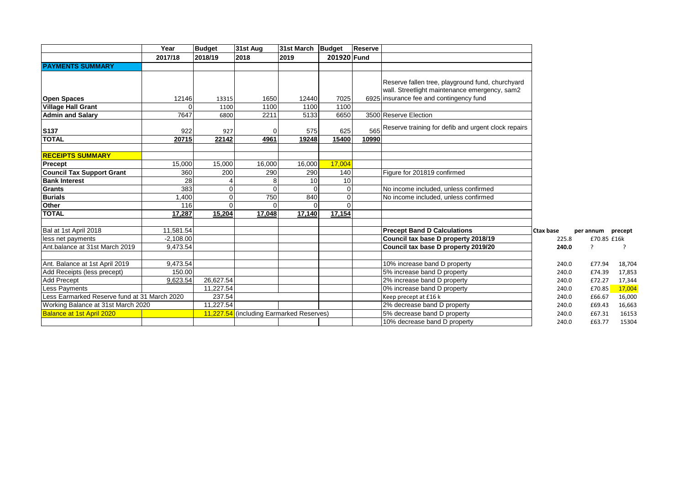|                                              | Year        | <b>Budget</b> | 31st Aug                                 | 31st March Budget |                | Reserve                     |                                                         |           |             |         |
|----------------------------------------------|-------------|---------------|------------------------------------------|-------------------|----------------|-----------------------------|---------------------------------------------------------|-----------|-------------|---------|
|                                              | 2017/18     | 2018/19       | 2018                                     | 2019              | 201920 Fund    |                             |                                                         |           |             |         |
| <b>PAYMENTS SUMMARY</b>                      |             |               |                                          |                   |                |                             |                                                         |           |             |         |
|                                              |             |               |                                          |                   |                |                             |                                                         |           |             |         |
|                                              |             |               |                                          |                   |                |                             | Reserve fallen tree, playground fund, churchyard        |           |             |         |
|                                              |             |               |                                          |                   |                |                             | wall. Streetlight maintenance emergency, sam2           |           |             |         |
| <b>Open Spaces</b>                           | 12146       | 13315         | 1650                                     | 12440             | 7025           |                             | 6925 insurance fee and contingency fund                 |           |             |         |
| <b>Village Hall Grant</b>                    |             | 1100          | 1100                                     | 1100              | 1100           |                             |                                                         |           |             |         |
| <b>Admin and Salarv</b>                      | 7647        | 6800          | 2211                                     | 5133              | 6650           |                             | 3500 Reserve Election                                   |           |             |         |
|                                              |             |               |                                          |                   |                |                             | 565 Reserve training for defib and urgent clock repairs |           |             |         |
| S137                                         | 922         | 927           |                                          | 575               | 625            |                             |                                                         |           |             |         |
| <b>TOTAL</b>                                 | 20715       | 22142         | 4961                                     | 19248             | 15400          | 10990                       |                                                         |           |             |         |
|                                              |             |               |                                          |                   |                |                             |                                                         |           |             |         |
| <b>RECEIPTS SUMMARY</b>                      |             |               |                                          |                   |                |                             |                                                         |           |             |         |
| Precept                                      | 15,000      | 15,000        | 16,000                                   | 16,000            | 17,004         |                             |                                                         |           |             |         |
| <b>Council Tax Support Grant</b>             | 360         | 200           | 290                                      | 290               | 140            |                             | Figure for 201819 confirmed                             |           |             |         |
| <b>Bank Interest</b>                         | 28          |               | 8                                        | 10                | 10             |                             |                                                         |           |             |         |
| <b>Grants</b>                                | 383         | $\Omega$      | $\Omega$                                 | $\Omega$          | $\mathbf 0$    |                             | No income included, unless confirmed                    |           |             |         |
| <b>Burials</b>                               | .400        | o١            | 750                                      | 840               | $\overline{0}$ |                             | No income included, unless confirmed                    |           |             |         |
| Other                                        | 116         | $\Omega$      | $\Omega$                                 | $\Omega$          | $\Omega$       |                             |                                                         |           |             |         |
| <b>TOTAL</b>                                 | 17,287      | 15,204        | 17,048                                   | 17.140            | 17.154         |                             |                                                         |           |             |         |
| Bal at 1st April 2018                        | 11,581.54   |               |                                          |                   |                |                             | <b>Precept Band D Calculations</b>                      | Ctax base | per annum   | precept |
| less net payments                            | $-2,108.00$ |               |                                          |                   |                |                             | Council tax base D property 2018/19                     | 225.8     | £70.85 £16k |         |
| Ant.balance at 31st March 2019               | 9,473.54    |               |                                          |                   |                |                             | Council tax base D property 2019/20                     | 240.0     | ?           | ?       |
|                                              |             |               |                                          |                   |                |                             |                                                         |           |             |         |
| Ant. Balance at 1st April 2019               | 9,473.54    |               |                                          |                   |                |                             | 10% increase band D property                            | 240.0     | £77.94      | 18,704  |
| Add Receipts (less precept)                  | 150.00      |               |                                          |                   |                |                             | 5% increase band D property                             | 240.0     | £74.39      | 17,853  |
| <b>Add Precept</b>                           | 9,623.54    | 26,627.54     |                                          |                   |                |                             | 2% increase band D property                             | 240.0     | £72.27      | 17,344  |
| Less Payments                                |             | 11,227.54     |                                          |                   |                |                             | 0% increase band D property                             | 240.0     | £70.85      | 17,004  |
| Less Earmarked Reserve fund at 31 March 2020 | 237.54      |               |                                          |                   |                | Keep precept at £16 k       | 240.0                                                   | £66.67    | 16,000      |         |
| Working Balance at 31st March 2020           | 11,227.54   |               |                                          |                   |                | 2% decrease band D property | 240.0                                                   | £69.43    | 16,663      |         |
| <b>Balance at 1st April 2020</b>             |             |               | 11,227.54 (including Earmarked Reserves) |                   |                |                             | 5% decrease band D property                             | 240.0     | £67.31      | 16153   |
|                                              |             |               |                                          |                   |                |                             | 10% decrease band D property                            | 240.0     | £63.77      | 15304   |